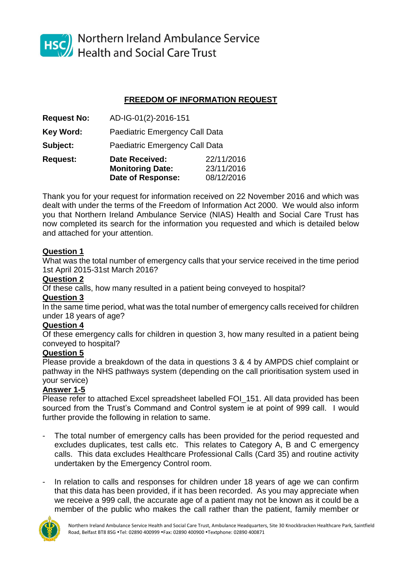

HSC Northern Ireland Ambulance Service<br>Health and Social Care Trust

# **FREEDOM OF INFORMATION REQUEST**

| <b>Request No:</b> | AD-IG-01(2)-2016-151                                |                          |
|--------------------|-----------------------------------------------------|--------------------------|
| Key Word:          | <b>Paediatric Emergency Call Data</b>               |                          |
| Subject:           | Paediatric Emergency Call Data                      |                          |
| <b>Request:</b>    | <b>Date Received:</b>                               | 22/11/2016<br>23/11/2016 |
|                    | <b>Monitoring Date:</b><br><b>Date of Response:</b> | 08/12/2016               |

Thank you for your request for information received on 22 November 2016 and which was dealt with under the terms of the Freedom of Information Act 2000. We would also inform you that Northern Ireland Ambulance Service (NIAS) Health and Social Care Trust has now completed its search for the information you requested and which is detailed below and attached for your attention.

### **Question 1**

What was the total number of emergency calls that your service received in the time period 1st April 2015-31st March 2016?

### **Question 2**

Of these calls, how many resulted in a patient being conveyed to hospital?

### **Question 3**

In the same time period, what was the total number of emergency calls received for children under 18 years of age?

## **Question 4**

Of these emergency calls for children in question 3, how many resulted in a patient being conveyed to hospital?

### **Question 5**

Please provide a breakdown of the data in questions 3 & 4 by AMPDS chief complaint or pathway in the NHS pathways system (depending on the call prioritisation system used in your service)

## **Answer 1-5**

Please refer to attached Excel spreadsheet labelled FOI\_151. All data provided has been sourced from the Trust's Command and Control system ie at point of 999 call. I would further provide the following in relation to same.

- The total number of emergency calls has been provided for the period requested and excludes duplicates, test calls etc. This relates to Category A, B and C emergency calls. This data excludes Healthcare Professional Calls (Card 35) and routine activity undertaken by the Emergency Control room.
- In relation to calls and responses for children under 18 years of age we can confirm that this data has been provided, if it has been recorded. As you may appreciate when we receive a 999 call, the accurate age of a patient may not be known as it could be a member of the public who makes the call rather than the patient, family member or